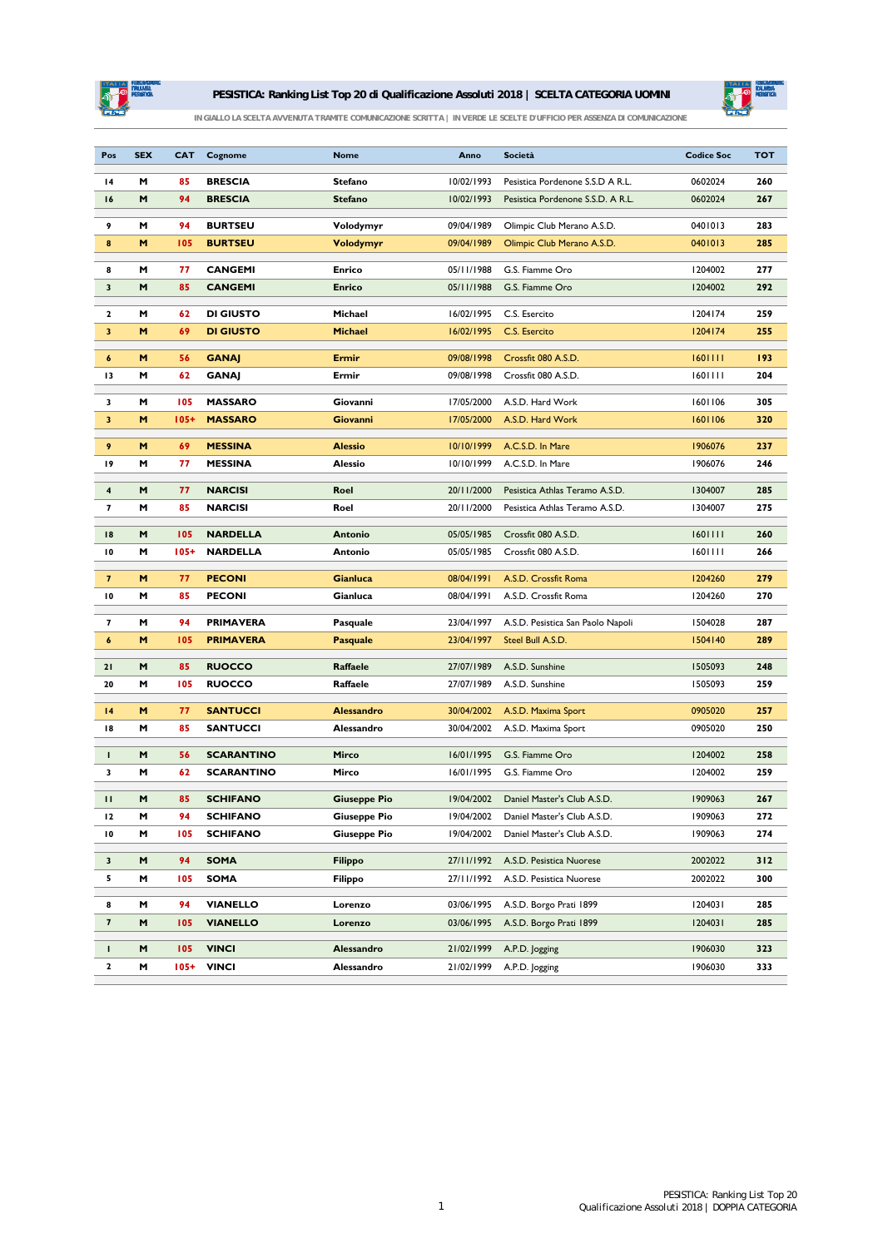

## **PESISTICA: Ranking List Top 20 di Qualificazione Assoluti 2018 | SCELTA CATEGORIA UOMINI**



*IN GIALLO LA SCELTA AVVENUTA TRAMITE COMUNICAZIONE SCRITTA | IN VERDE LE SCELTE D'UFFICIO PER ASSENZA DI COMUNICAZIONE*

| Pos                      | <b>SEX</b> | CAT            | Cognome                      | <b>Nome</b>              | Anno                     | <b>Società</b>                    | <b>Codice Soc</b> | <b>TOT</b> |
|--------------------------|------------|----------------|------------------------------|--------------------------|--------------------------|-----------------------------------|-------------------|------------|
| 14                       | M          | 85             | <b>BRESCIA</b>               | <b>Stefano</b>           | 10/02/1993               | Pesistica Pordenone S.S.D A R.L.  | 0602024           | 260        |
| 16                       | M          | 94             | <b>BRESCIA</b>               | <b>Stefano</b>           | 10/02/1993               | Pesistica Pordenone S.S.D. A R.L. | 0602024           | 267        |
| 9                        | M          | 94             | <b>BURTSEU</b>               | Volodymyr                | 09/04/1989               | Olimpic Club Merano A.S.D.        | 0401013           | 283        |
| 8                        | M          | 105            | <b>BURTSEU</b>               | Volodymyr                | 09/04/1989               | Olimpic Club Merano A.S.D.        | 0401013           | 285        |
|                          |            |                |                              |                          |                          |                                   |                   |            |
| 8                        | м          | 77             | <b>CANGEMI</b>               | <b>Enrico</b>            | 05/11/1988               | G.S. Fiamme Oro                   | 1204002           | 277        |
| 3                        | M          | 85             | <b>CANGEMI</b>               | Enrico                   | 05/11/1988               | G.S. Fiamme Oro                   | 1204002           | 292        |
| 2                        | м          | 62             | <b>DI GIUSTO</b>             | Michael                  | 16/02/1995               | C.S. Esercito                     | 1204174           | 259        |
| 3                        | M          | 69             | <b>DI GIUSTO</b>             | <b>Michael</b>           | 16/02/1995               | C.S. Esercito                     | 1204174           | 255        |
| 6                        | M          | 56             | <b>GANAJ</b>                 | Ermir                    | 09/08/1998               | Crossfit 080 A.S.D.               | 1601111           | 193        |
| 13                       | м          | 62             | <b>GANAJ</b>                 | Ermir                    | 09/08/1998               | Crossfit 080 A.S.D.               | 1601111           | 204        |
| 3                        | м          | 105            | <b>MASSARO</b>               | Giovanni                 | 17/05/2000               | A.S.D. Hard Work                  | 1601106           | 305        |
| 3                        | M          | $105+$         | <b>MASSARO</b>               | Giovanni                 | 17/05/2000               | A.S.D. Hard Work                  | 1601106           | 320        |
|                          |            |                |                              |                          |                          |                                   |                   |            |
| 9                        | M          | 69             | <b>MESSINA</b>               | <b>Alessio</b>           | 10/10/1999               | A.C.S.D. In Mare                  | 1906076           | 237        |
| 19                       | M          | 77             | <b>MESSINA</b>               | <b>Alessio</b>           | 10/10/1999               | A.C.S.D. In Mare                  | 1906076           | 246        |
| 4                        | M          | 77             | <b>NARCISI</b>               | Roel                     | 20/11/2000               | Pesistica Athlas Teramo A.S.D.    | 1304007           | 285        |
| 7                        | M          | 85             | <b>NARCISI</b>               | Roel                     | 20/11/2000               | Pesistica Athlas Teramo A.S.D.    | 1304007           | 275        |
| 18                       | M          | 105            | <b>NARDELLA</b>              | <b>Antonio</b>           | 05/05/1985               | Crossfit 080 A.S.D.               | 1601111           | 260        |
| 10                       | M          | $105+$         | <b>NARDELLA</b>              | <b>Antonio</b>           | 05/05/1985               | Crossfit 080 A.S.D.               | 1601111           | 266        |
| $\overline{\phantom{a}}$ | м          | 77             | <b>PECONI</b>                | Gianluca                 | 08/04/1991               | A.S.D. Crossfit Roma              | 1204260           | 279        |
| 10                       | M          | 85             | <b>PECONI</b>                | Gianluca                 | 08/04/1991               | A.S.D. Crossfit Roma              | 1204260           | 270        |
|                          |            |                |                              |                          |                          |                                   |                   |            |
| 7                        | M          | 94             | <b>PRIMAVERA</b>             | Pasquale                 | 23/04/1997               | A.S.D. Pesistica San Paolo Napoli | 1504028           | 287        |
| 6                        | M          | 105            | <b>PRIMAVERA</b>             | <b>Pasquale</b>          | 23/04/1997               | Steel Bull A.S.D.                 | 1504140           | 289        |
| 21                       | M          | 85             | <b>RUOCCO</b>                | Raffaele                 | 27/07/1989               | A.S.D. Sunshine                   | 1505093           | 248        |
| 20                       | M          | 105            | <b>RUOCCO</b>                | Raffaele                 | 27/07/1989               | A.S.D. Sunshine                   | 1505093           | 259        |
| 4                        | M          | 77             | <b>SANTUCCI</b>              | <b>Alessandro</b>        | 30/04/2002               | A.S.D. Maxima Sport               | 0905020           | 257        |
| 18                       | M          | 85             | <b>SANTUCCI</b>              | Alessandro               | 30/04/2002               | A.S.D. Maxima Sport               | 0905020           | 250        |
| т                        | M          | 56             | <b>SCARANTINO</b>            | Mirco                    | 16/01/1995               | G.S. Fiamme Oro                   | 1204002           | 258        |
| 3                        | M          | 62             | SCARANTINO                   | Mirco                    | 16/01/1995               | G.S. Fiamme Oro                   | 1204002           | 259        |
|                          |            |                |                              |                          |                          |                                   |                   |            |
| п                        | M          | 85             | SCHIFANO                     | <b>Giuseppe Pio</b>      | 19/04/2002               | Daniel Master's Club A.S.D.       | 1909063           | 267        |
| 12                       | M          | 94             | <b>SCHIFANO</b>              | <b>Giuseppe Pio</b>      | 19/04/2002               | Daniel Master's Club A.S.D.       | 1909063           | 272        |
| 10                       | M          | 105            | <b>SCHIFANO</b>              | <b>Giuseppe Pio</b>      | 19/04/2002               | Daniel Master's Club A.S.D.       | 1909063           | 274        |
| 3                        | M          | 94             | <b>SOMA</b>                  | Filippo                  | 27/11/1992               | A.S.D. Pesistica Nuorese          | 2002022           | 312        |
| 5                        | м          | 105            | <b>SOMA</b>                  | Filippo                  | 27/11/1992               | A.S.D. Pesistica Nuorese          | 2002022           | 300        |
| 8                        | M          | 94             | <b>VIANELLO</b>              | Lorenzo                  | 03/06/1995               | A.S.D. Borgo Prati 1899           | 1204031           | 285        |
| $\overline{\mathbf{z}}$  | M          | 105            | <b>VIANELLO</b>              | Lorenzo                  | 03/06/1995               | A.S.D. Borgo Prati 1899           | 1204031           | 285        |
|                          |            |                |                              |                          |                          |                                   | 1906030           | 323        |
| L<br>$\mathbf{z}$        | M<br>M     | 105<br>$105 +$ | <b>VINCI</b><br><b>VINCI</b> | Alessandro<br>Alessandro | 21/02/1999<br>21/02/1999 | A.P.D. Jogging<br>A.P.D. Jogging  | 1906030           | 333        |
|                          |            |                |                              |                          |                          |                                   |                   |            |